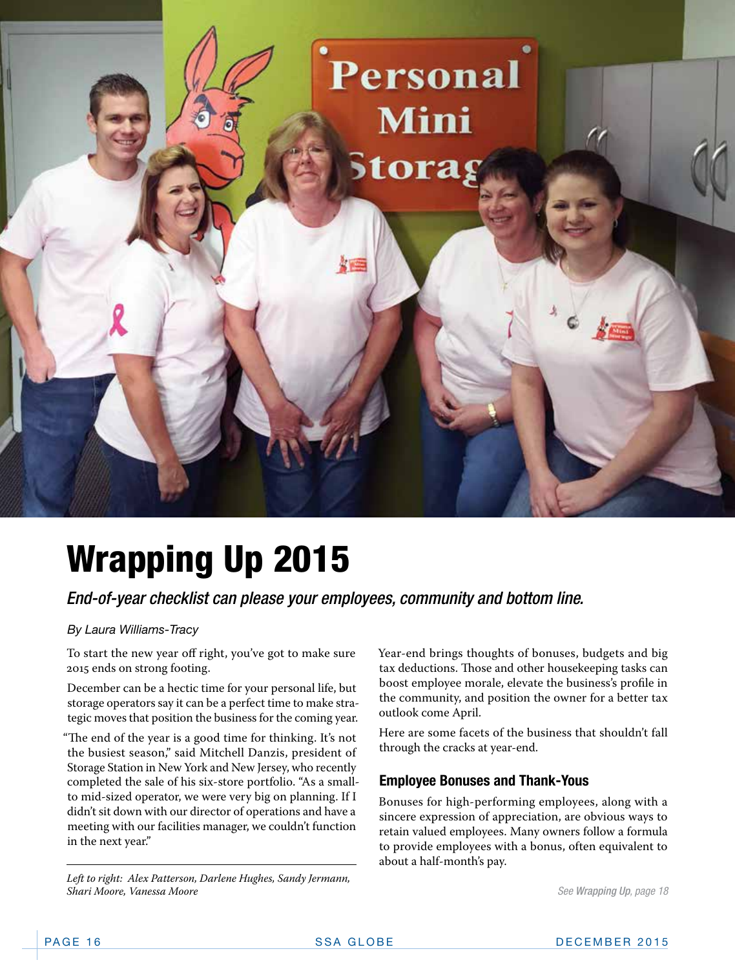

## Wrapping Up 2015

### *End-of-year checklist can please your employees, community and bottom line.*

### *By Laura Williams-Tracy*

To start the new year off right, you've got to make sure 2015 ends on strong footing.

December can be a hectic time for your personal life, but storage operators say it can be a perfect time to make strategic moves that position the business for the coming year.

"The end of the year is a good time for thinking. It's not the busiest season," said Mitchell Danzis, president of Storage Station in New York and New Jersey, who recently completed the sale of his six-store portfolio. "As a smallto mid-sized operator, we were very big on planning. If I didn't sit down with our director of operations and have a meeting with our facilities manager, we couldn't function in the next year."

*Left to right: Alex Patterson, Darlene Hughes, Sandy Jermann, Shari Moore, Vanessa Moore* 

Year-end brings thoughts of bonuses, budgets and big tax deductions. Those and other housekeeping tasks can boost employee morale, elevate the business's profile in the community, and position the owner for a better tax outlook come April.

Here are some facets of the business that shouldn't fall through the cracks at year-end.

### **Employee Bonuses and Thank-Yous**

Bonuses for high-performing employees, along with a sincere expression of appreciation, are obvious ways to retain valued employees. Many owners follow a formula to provide employees with a bonus, often equivalent to about a half-month's pay.

*See Wrapping Up, page 18*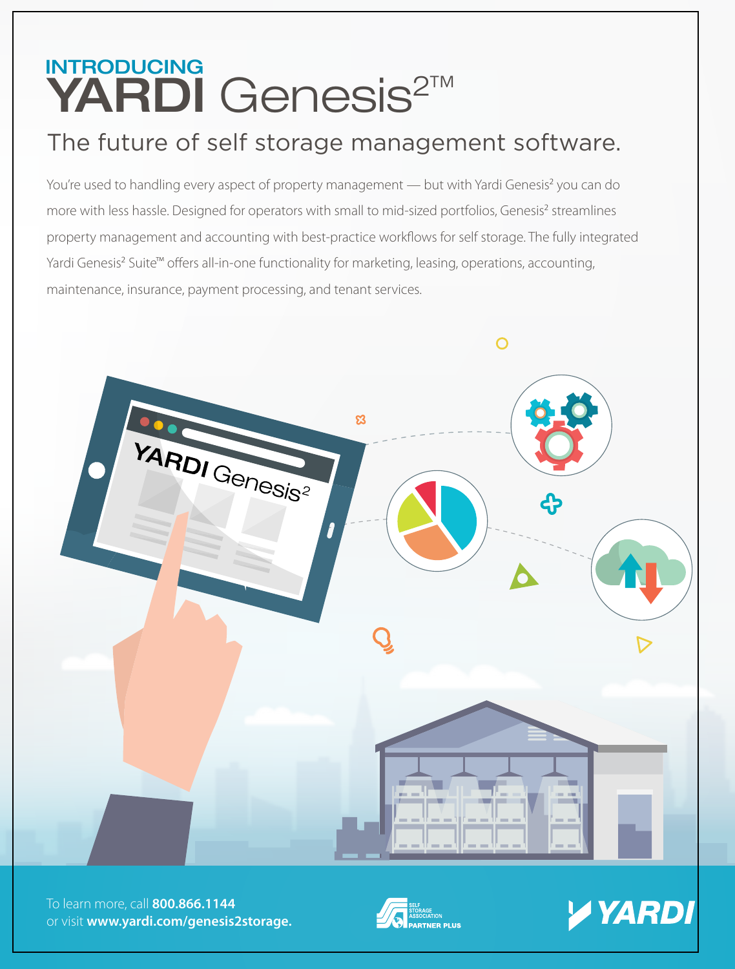### YARDI Genesis<sup>2™</sup> INTRODUCING

### [The future of self storage management software.](http://www.yardi.com/genesis2storage)

You're used to handling every aspect of property management — but with Yardi Genesis<sup>2</sup> you can do more with less hassle. Designed for operators with small to mid-sized portfolios, Genesis<sup>2</sup> streamlines property management and accounting with best-practice workflows for self storage. The fully integrated Yardi Genesis<sup>2</sup> Suite<sup>™</sup> offers all-in-one functionality for marketing, leasing, operations, accounting, maintenance, insurance, payment processing, and tenant services.



To learn more, call **800.866.1144** or visit **www.yardi.com/genesis2storage.**



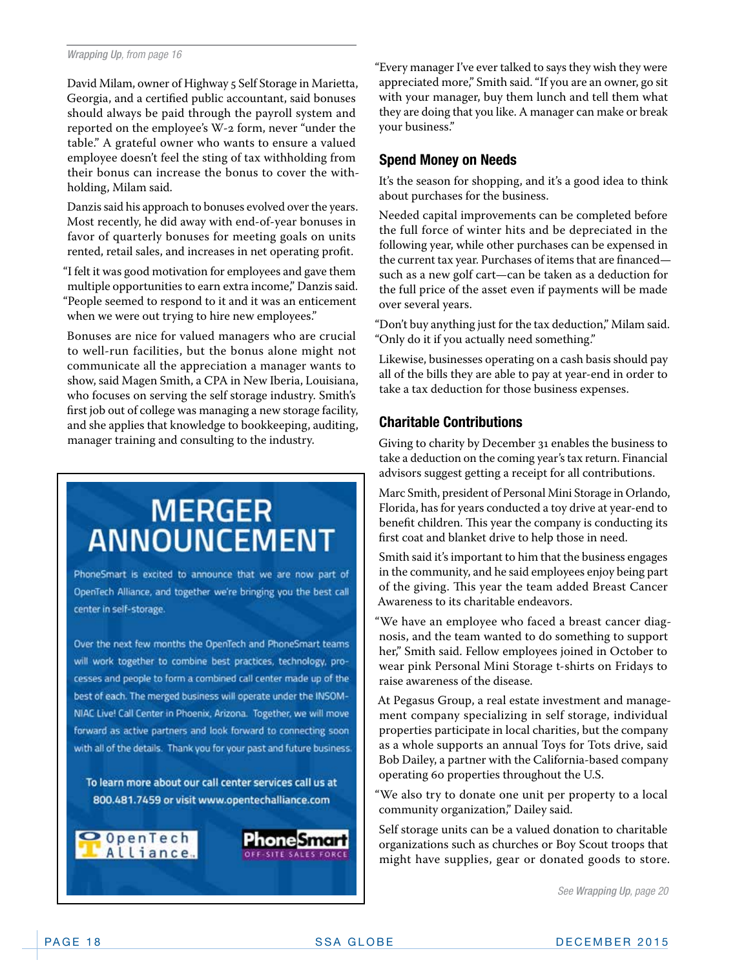#### *Wrapping Up, from page 16*

David Milam, owner of Highway 5 Self Storage in Marietta, Georgia, and a certified public accountant, said bonuses should always be paid through the payroll system and reported on the employee's W-2 form, never "under the table." A grateful owner who wants to ensure a valued employee doesn't feel the sting of tax withholding from their bonus can increase the bonus to cover the withholding, Milam said.

Danzis said his approach to bonuses evolved over the years. Most recently, he did away with end-of-year bonuses in favor of quarterly bonuses for meeting goals on units rented, retail sales, and increases in net operating profit.

"I felt it was good motivation for employees and gave them multiple opportunities to earn extra income," Danzis said. "People seemed to respond to it and it was an enticement when we were out trying to hire new employees."

Bonuses are nice for valued managers who are crucial to well-run facilities, but the bonus alone might not communicate all the appreciation a manager wants to show, said Magen Smith, a CPA in New Iberia, Louisiana, who focuses on serving the self storage industry. Smith's first job out of college was managing a new storage facility, and she applies that knowledge to bookkeeping, auditing, manager training and consulting to the industry.

### **MERGER ANNOUNCEMENT**

PhoneSmart is excited to announce that we are now part of OpenTech Alliance, and together we're bringing you the best call center in self-storage.

Over the next few months the OpenTech and PhoneSmart teams will work together to combine best practices, technology, processes and people to form a combined call center made up of the best of each. The merged business will operate under the INSOM-NIAC Live! Call Center in Phoenix, Arizona. Together, we will move. forward as active partners and look forward to connecting soon with all of the details. Thank you for your past and future business.

To learn more about our call center services call us at 800.481.7459 or visit www.opentechalliance.com

OpenTech Alliance "Every manager I've ever talked to says they wish they were appreciated more," Smith said. "If you are an owner, go sit with your manager, buy them lunch and tell them what they are doing that you like. A manager can make or break your business."

#### **Spend Money on Needs**

It's the season for shopping, and it's a good idea to think about purchases for the business.

Needed capital improvements can be completed before the full force of winter hits and be depreciated in the following year, while other purchases can be expensed in the current tax year. Purchases of items that are financed such as a new golf cart—can be taken as a deduction for the full price of the asset even if payments will be made over several years.

"Don't buy anything just for the tax deduction," Milam said. "Only do it if you actually need something."

Likewise, businesses operating on a cash basis should pay all of the bills they are able to pay at year-end in order to take a tax deduction for those business expenses.

### **Charitable Contributions**

Giving to charity by December 31 enables the business to take a deduction on the coming year's tax return. Financial advisors suggest getting a receipt for all contributions.

Marc Smith, president of Personal Mini Storage in Orlando, Florida, has for years conducted a toy drive at year-end to benefit children. This year the company is conducting its first coat and blanket drive to help those in need.

Smith said it's important to him that the business engages in the community, and he said employees enjoy being part of the giving. This year the team added Breast Cancer Awareness to its charitable endeavors.

"We have an employee who faced a breast cancer diagnosis, and the team wanted to do something to support her," Smith said. Fellow employees joined in October to wear pink Personal Mini Storage t-shirts on Fridays to raise awareness of the disease.

At Pegasus Group, a real estate investment and management company specializing in self storage, individual properties participate in local charities, but the company as a whole supports an annual Toys for Tots drive, said Bob Dailey, a partner with the California-based company operating 60 properties throughout the U.S.

"We also try to donate one unit per property to a local community organization," Dailey said.

Self storage units can be a valued donation to charitable organizations such as churches or Boy Scout troops that might have supplies, gear or donated goods to store.

*See Wrapping Up, page 20*

noneSmart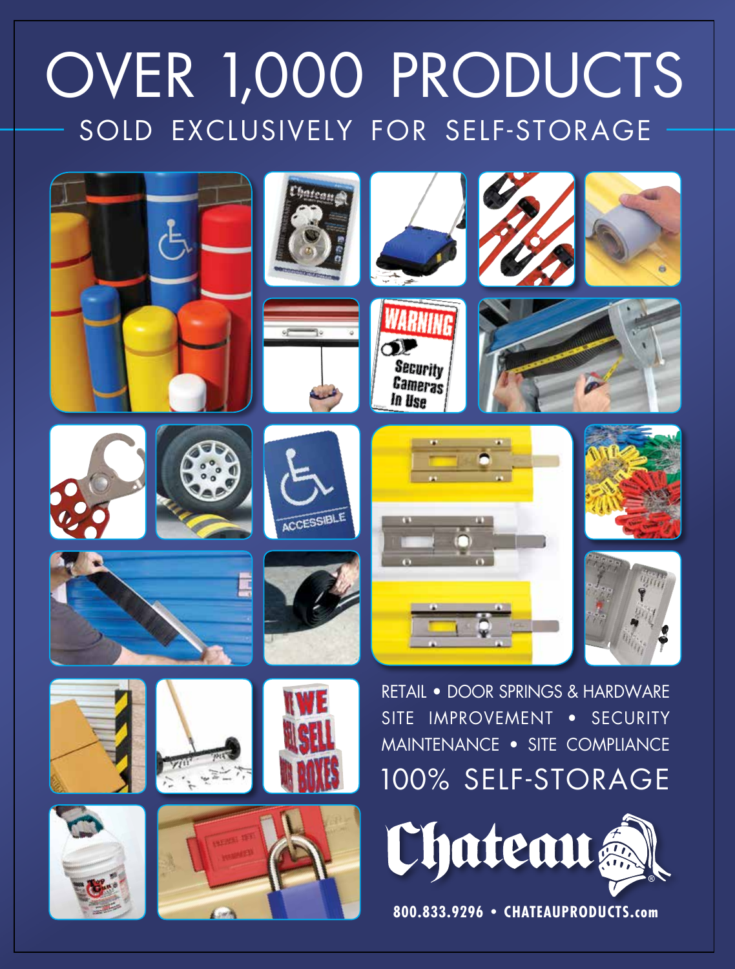# [OVER 1,000 PRODUCTS](http://www.chateauproducts.com) SOLD EXCLUSIVELY FOR SELF-STORAGE







Security **Cameras** In Use



























RETAIL • DOOR SPRINGS & HARDWARE SITE IMPROVEMENT • SECURITY MAINTENANCE • SITE COMPLIANCE 100% SELF-STORAGE



**800.833.9296 • CHATEAUPRODUCTS.com**